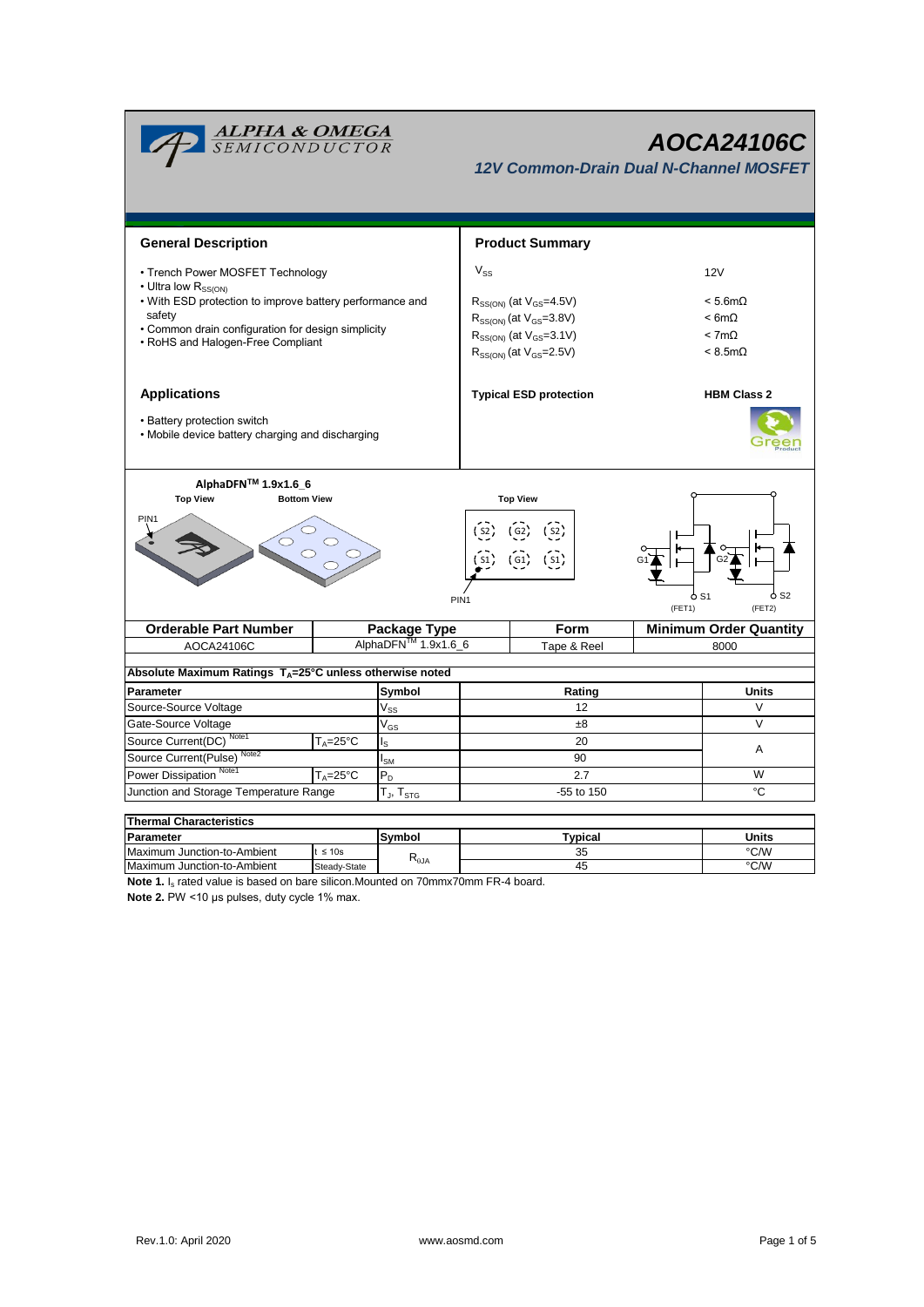| <u>ALPHA &amp; OMEGA</u><br>SEMICONDUCTOR                                                                                                                                                        |                            |                                 |                                                                                                                                                     | AOCA24106C<br><b>12V Common-Drain Dual N-Channel MOSFET</b> |             |                                                                          |                    |  |  |  |
|--------------------------------------------------------------------------------------------------------------------------------------------------------------------------------------------------|----------------------------|---------------------------------|-----------------------------------------------------------------------------------------------------------------------------------------------------|-------------------------------------------------------------|-------------|--------------------------------------------------------------------------|--------------------|--|--|--|
| <b>General Description</b>                                                                                                                                                                       |                            |                                 |                                                                                                                                                     | <b>Product Summary</b>                                      |             |                                                                          |                    |  |  |  |
| • Trench Power MOSFET Technology                                                                                                                                                                 |                            |                                 | $V_{SS}$                                                                                                                                            |                                                             |             |                                                                          | 12V                |  |  |  |
| • Ultra low R <sub>SS(ON)</sub><br>• With ESD protection to improve battery performance and<br>safety<br>• Common drain configuration for design simplicity<br>• RoHS and Halogen-Free Compliant |                            |                                 | $R_{SS(ON)}$ (at $V_{GS} = 4.5V$ )<br>$R_{SS(ON)}$ (at $V_{GS} = 3.8V$ )<br>$R_{SS(ON)}$ (at $V_{GS} = 3.1 V$ )<br>$R_{SS(ON)}$ (at $V_{GS}$ =2.5V) |                                                             |             | $< 5.6m\Omega$<br>$< 6m\Omega$<br>$< 7m\Omega$<br>$< 8.5 \text{m}\Omega$ |                    |  |  |  |
| <b>Applications</b><br>• Battery protection switch<br>• Mobile device battery charging and discharging                                                                                           |                            |                                 |                                                                                                                                                     | <b>Typical ESD protection</b>                               |             |                                                                          | <b>HBM Class 2</b> |  |  |  |
| AlphaDFN™ 1.9x1.6_6<br><b>Top View</b><br><b>Bottom View</b><br>PIN1<br>PIN <sub>1</sub>                                                                                                         |                            |                                 | <b>Top View</b><br>$\frac{1}{2}$<br>G1                                                                                                              |                                                             |             | ბ S2<br>o S1<br>(FET1)<br>(FET2)                                         |                    |  |  |  |
| <b>Orderable Part Number</b>                                                                                                                                                                     |                            | Package Type                    |                                                                                                                                                     | Form                                                        |             | <b>Minimum Order Quantity</b>                                            |                    |  |  |  |
| AOCA24106C                                                                                                                                                                                       |                            | AlphaDFN <sup>™</sup> 1.9x1.6_6 |                                                                                                                                                     |                                                             | Tape & Reel |                                                                          | 8000               |  |  |  |
| Absolute Maximum Ratings TA=25°C unless otherwise noted                                                                                                                                          |                            |                                 |                                                                                                                                                     |                                                             |             |                                                                          |                    |  |  |  |
| Parameter                                                                                                                                                                                        |                            |                                 | Rating                                                                                                                                              |                                                             |             |                                                                          | <b>Units</b>       |  |  |  |
| Source-Source Voltage                                                                                                                                                                            |                            | $\mathsf{V}_{\mathsf{SS}}$      | 12                                                                                                                                                  |                                                             |             |                                                                          | V                  |  |  |  |
| Gate-Source Voltage                                                                                                                                                                              | $\mathsf{V}_{\mathsf{GS}}$ |                                 | $\pm 8$                                                                                                                                             |                                                             |             | $\vee$                                                                   |                    |  |  |  |
| Source Current(DC) Note1<br>Note <sub>2</sub>                                                                                                                                                    | $T_A = 25^{\circ}C$        | $I_{\rm S}$                     | 20                                                                                                                                                  |                                                             |             |                                                                          | A                  |  |  |  |
| Source Current(Pulse)                                                                                                                                                                            |                            | $I_{\text{SM}}$                 | 90                                                                                                                                                  |                                                             |             |                                                                          |                    |  |  |  |
| Power Dissipation <sup>Note1</sup>                                                                                                                                                               | $T_A = 25$ °C              | $P_D$                           |                                                                                                                                                     | 2.7                                                         |             |                                                                          | W                  |  |  |  |
| Junction and Storage Temperature Range<br>-55 to 150<br>T <sub>J</sub> , T <sub>STG</sub>                                                                                                        |                            |                                 |                                                                                                                                                     |                                                             | °C          |                                                                          |                    |  |  |  |
| Thermal Characteristics                                                                                                                                                                          |                            |                                 |                                                                                                                                                     |                                                             |             |                                                                          |                    |  |  |  |

| Thermal Unaracteristics     |              |                                                      |          |       |  |  |  |  |
|-----------------------------|--------------|------------------------------------------------------|----------|-------|--|--|--|--|
| Parameter                   |              | Symbol                                               | Typical  | Units |  |  |  |  |
| Maximum Junction-to-Ambient | $\leq 10s$   |                                                      | つに<br>ںں | °C/W  |  |  |  |  |
| Maximum Junction-to-Ambient | Steady-State | $\mathsf{r}_{\scriptscriptstyle{\theta\mathsf{JA}}}$ | 45       | °C/W  |  |  |  |  |

**Note 1.** I<sub>s</sub> rated value is based on bare silicon.Mounted on 70mmx70mm FR-4 board.

**Note 2.** PW <10 μs pulses, duty cycle 1% max.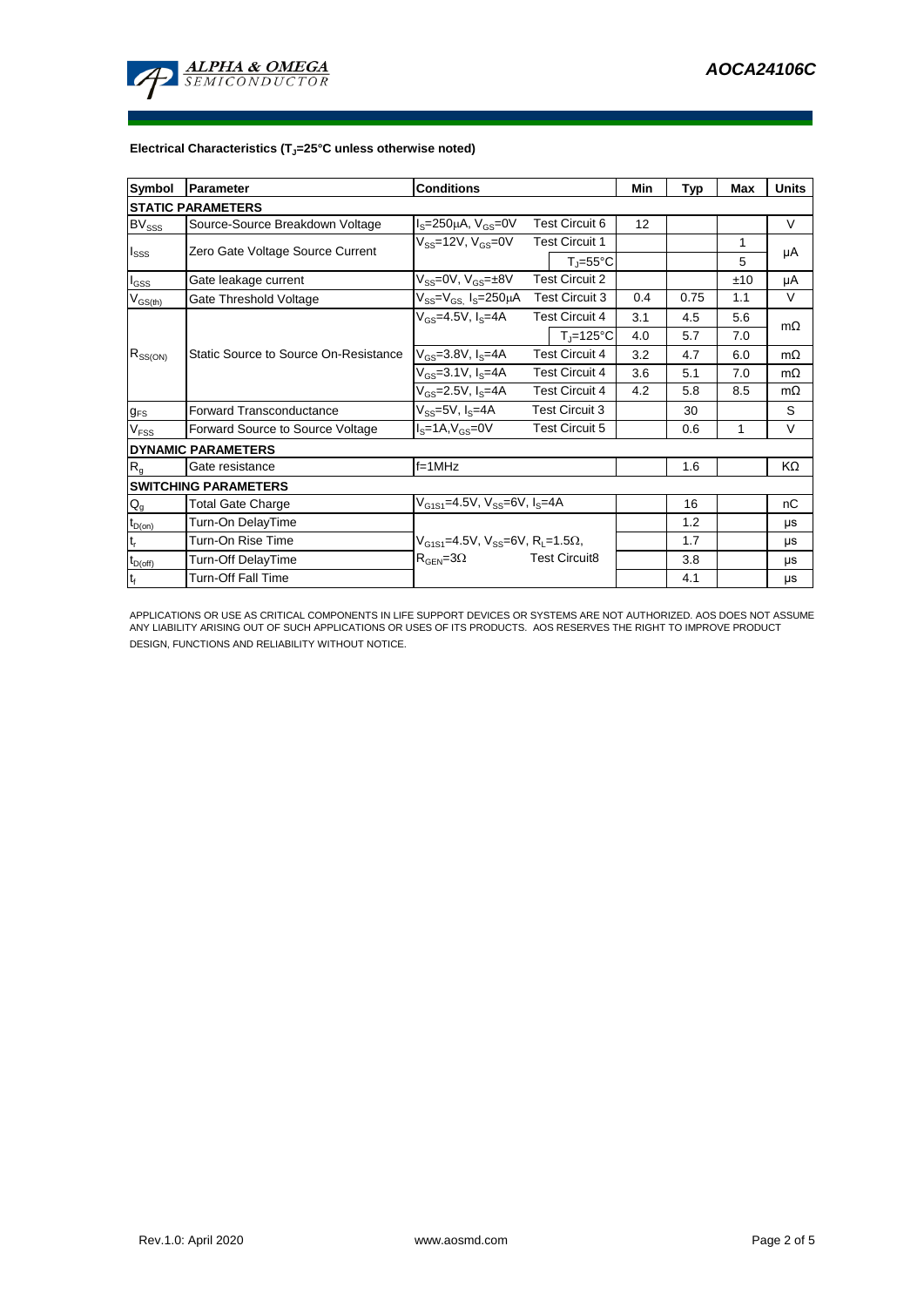

## **Electrical Characteristics (TJ=25°C unless otherwise noted)**

| Symbol                     | <b>Conditions</b><br>Parameter        |                                                            |                       | Min                            | Typ | Max  | <b>Units</b> |           |  |  |
|----------------------------|---------------------------------------|------------------------------------------------------------|-----------------------|--------------------------------|-----|------|--------------|-----------|--|--|
| <b>STATIC PARAMETERS</b>   |                                       |                                                            |                       |                                |     |      |              |           |  |  |
| $BV_{SSS}$                 | Source-Source Breakdown Voltage       | <b>Test Circuit 6</b><br>$IS=250\mu A$ , $VGS=0V$          |                       | 12                             |     |      | V            |           |  |  |
| $I_{SSS}$                  | Zero Gate Voltage Source Current      | $V_{SS}$ =12V, $V_{GS}$ =0V                                | <b>Test Circuit 1</b> |                                |     |      | 1            |           |  |  |
|                            |                                       |                                                            |                       | $T_i = 55^{\circ}C$            |     |      | 5            | μA        |  |  |
| $I_{GSS}$                  | Gate leakage current                  | <b>Test Circuit 2</b><br>$V_{SS} = 0V$ , $V_{GS} = \pm 8V$ |                       |                                |     | ±10  | μA           |           |  |  |
| $V_{GS(th)}$               | Gate Threshold Voltage                | $V_{SS} = V_{GS}$ $I_S = 250 \mu A$                        | <b>Test Circuit 3</b> |                                | 0.4 | 0.75 | 1.1          | $\vee$    |  |  |
| $R_{SS(ON)}$               | Static Source to Source On-Resistance | $V_{GS}$ =4.5V, $I_S$ =4A                                  | <b>Test Circuit 4</b> |                                | 3.1 | 4.5  | 5.6          | $m\Omega$ |  |  |
|                            |                                       |                                                            |                       | $T_{\parallel} = 125^{\circ}C$ | 4.0 | 5.7  | 7.0          |           |  |  |
|                            |                                       | $V_{GS} = 3.8 V, I_S = 4A$                                 | <b>Test Circuit 4</b> |                                | 3.2 | 4.7  | 6.0          | $m\Omega$ |  |  |
|                            |                                       | $V_{GS} = 3.1 V, I_S = 4A$                                 | <b>Test Circuit 4</b> |                                | 3.6 | 5.1  | 7.0          | $m\Omega$ |  |  |
|                            |                                       | $V_{GS} = 2.5V, I_S = 4A$                                  | <b>Test Circuit 4</b> |                                | 4.2 | 5.8  | 8.5          | $m\Omega$ |  |  |
| $g_{FS}$                   | Forward Transconductance              | $V_{SS} = 5V$ , $I_S = 4A$                                 | <b>Test Circuit 3</b> |                                |     | 30   |              | S         |  |  |
| V <sub>FSS</sub>           | Forward Source to Source Voltage      | $IS=1A, VGS=0V$<br><b>Test Circuit 5</b>                   |                       |                                | 0.6 | 1    | V            |           |  |  |
|                            | <b>DYNAMIC PARAMETERS</b>             |                                                            |                       |                                |     |      |              |           |  |  |
| R <sub>g</sub>             | Gate resistance                       | $f=1MHz$                                                   |                       |                                |     | 1.6  |              | KΩ        |  |  |
|                            | <b>SWITCHING PARAMETERS</b>           |                                                            |                       |                                |     |      |              |           |  |  |
| $Q_g$                      | <b>Total Gate Charge</b>              | $V_{G1S1} = 4.5V$ , $V_{SS} = 6V$ , $I_S = 4A$             |                       |                                |     | 16   |              | nC        |  |  |
| $t_{D(0n)}$                | Turn-On DelayTime                     |                                                            |                       |                                |     | 1.2  |              | μs        |  |  |
| $\mathsf{t}_{\mathsf{r}}$  | Turn-On Rise Time                     | $V_{G1S1} = 4.5V$ , $V_{SS} = 6V$ , $R_1 = 1.5\Omega$ ,    |                       |                                |     | 1.7  |              | μs        |  |  |
| $t_{\text{D}(\text{off})}$ | Turn-Off DelayTime                    | $R_{\text{GEN}} = 3\Omega$                                 |                       | <b>Test Circuit8</b>           |     | 3.8  |              | μs        |  |  |
| $\mathbf{t}_\text{f}$      | <b>Turn-Off Fall Time</b>             |                                                            |                       |                                |     | 4.1  |              | μs        |  |  |

APPLICATIONS OR USE AS CRITICAL COMPONENTS IN LIFE SUPPORT DEVICES OR SYSTEMS ARE NOT AUTHORIZED. AOS DOES NOT ASSUME ANY LIABILITY ARISING OUT OF SUCH APPLICATIONS OR USES OF ITS PRODUCTS. AOS RESERVES THE RIGHT TO IMPROVE PRODUCT DESIGN, FUNCTIONS AND RELIABILITY WITHOUT NOTICE.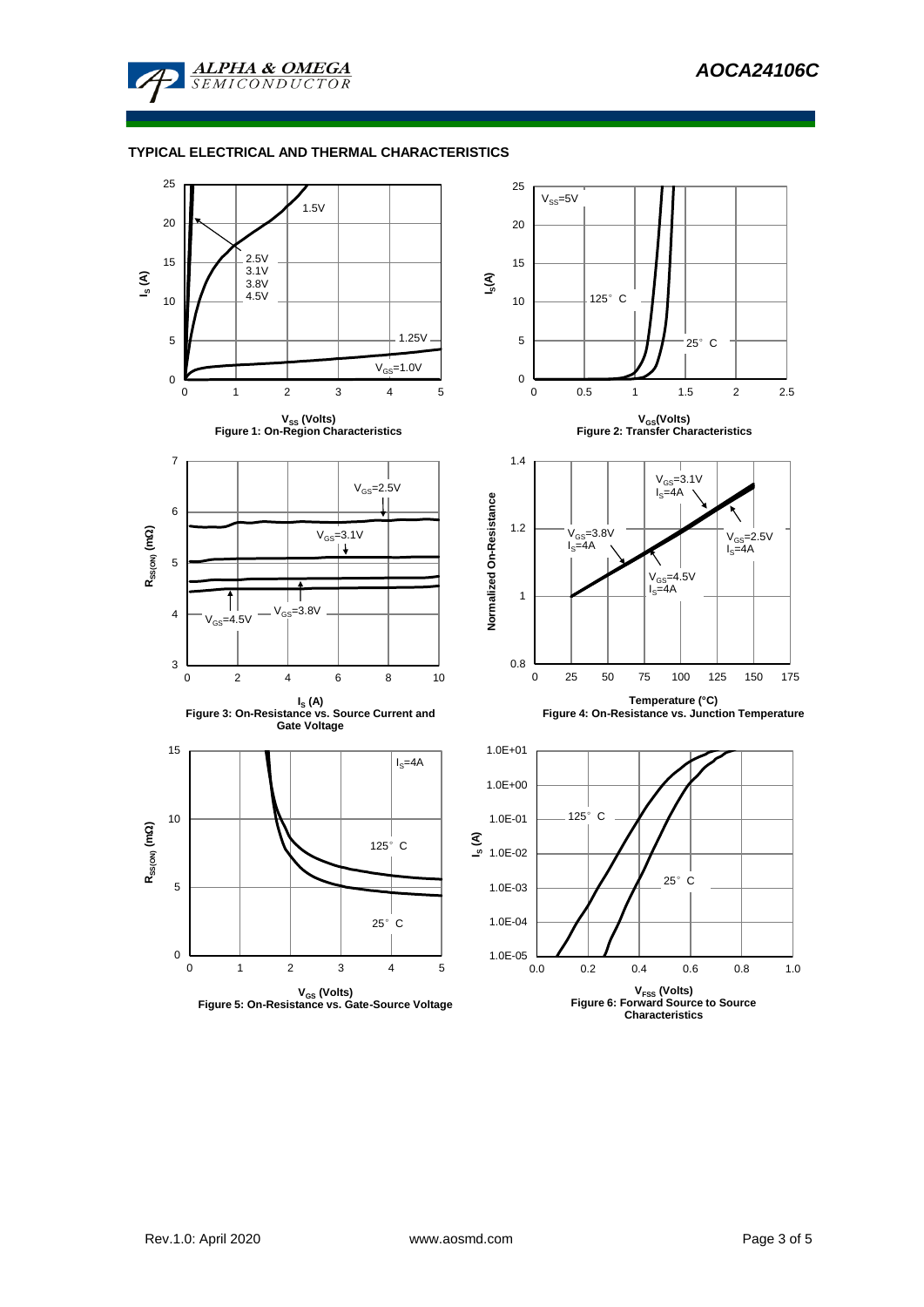

## **TYPICAL ELECTRICAL AND THERMAL CHARACTERISTICS**

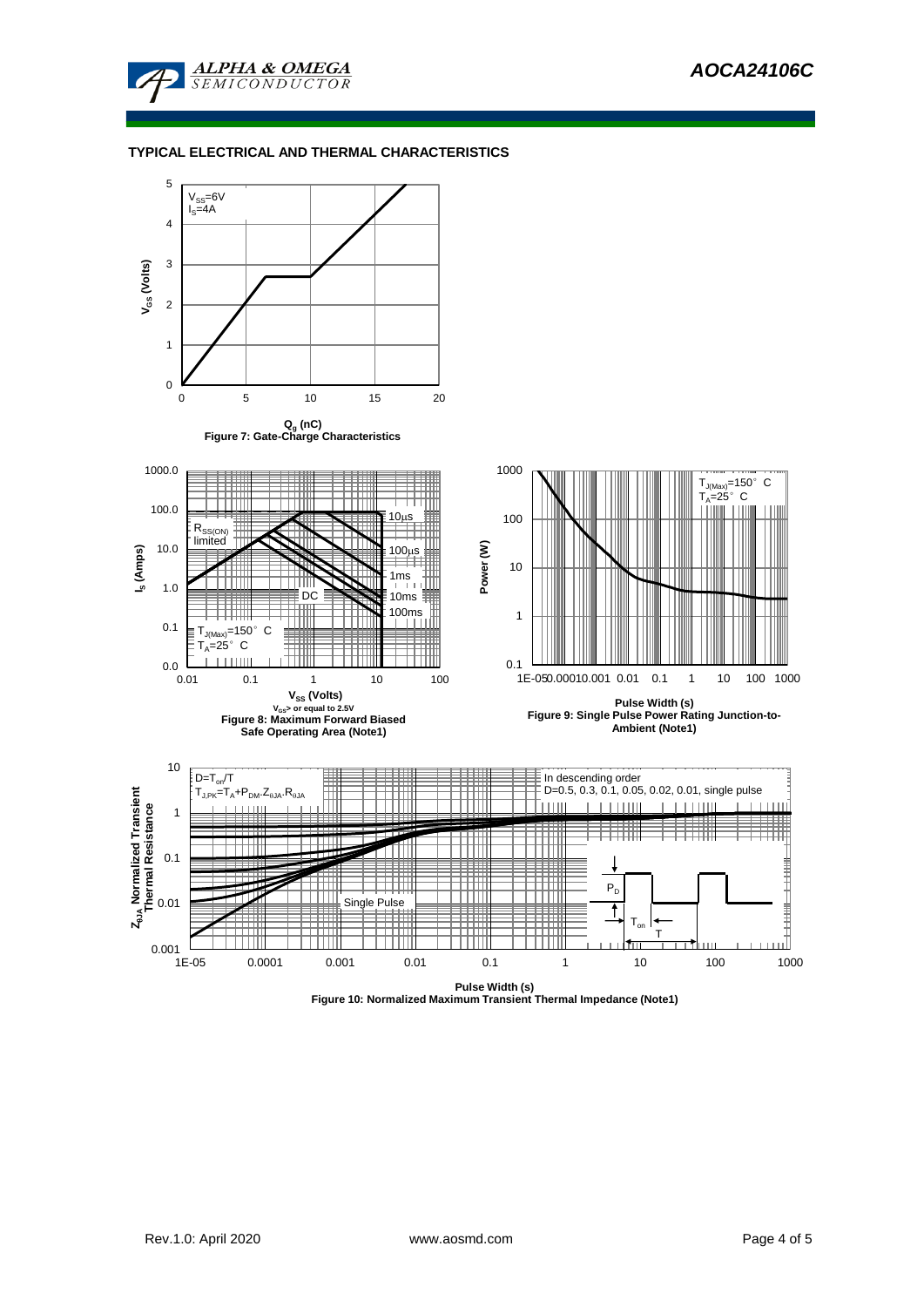

## **TYPICAL ELECTRICAL AND THERMAL CHARACTERISTICS**



**Figure 10: Normalized Maximum Transient Thermal Impedance (Note1)**